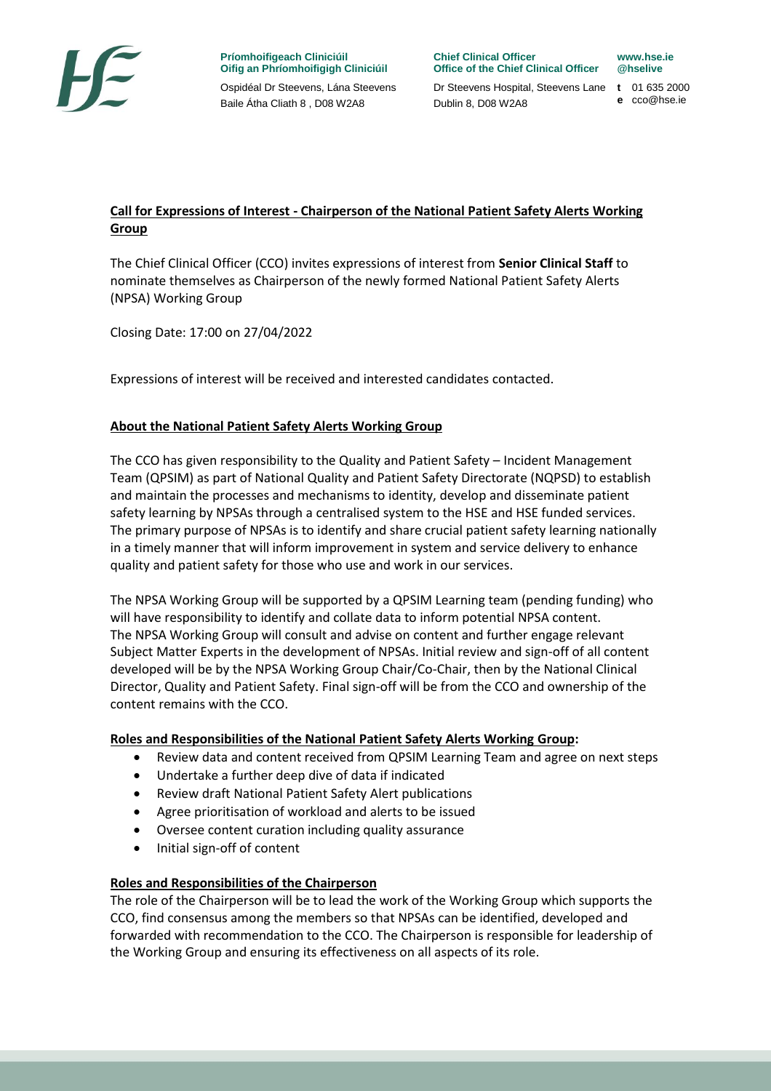

**Príomhoifigeach Cliniciúil Oifig an Phríomhoifigigh Cliniciúil**  Ospidéal Dr Steevens, Lána Steevens Baile Átha Cliath 8 , D08 W2A8

**Chief Clinical Officer Office of the Chief Clinical Officer** Dr Steevens Hospital, Steevens Lane **t** 01 635 2000

Dublin 8, D08 W2A8

**www.hse.ie @hselive**

**e** cco@hse.ie

# **Call for Expressions of Interest - Chairperson of the National Patient Safety Alerts Working Group**

The Chief Clinical Officer (CCO) invites expressions of interest from **Senior Clinical Staff** to nominate themselves as Chairperson of the newly formed National Patient Safety Alerts (NPSA) Working Group

Closing Date: 17:00 on 27/04/2022

Expressions of interest will be received and interested candidates contacted.

## **About the National Patient Safety Alerts Working Group**

The CCO has given responsibility to the Quality and Patient Safety – Incident Management Team (QPSIM) as part of National Quality and Patient Safety Directorate (NQPSD) to establish and maintain the processes and mechanisms to identity, develop and disseminate patient safety learning by NPSAs through a centralised system to the HSE and HSE funded services. The primary purpose of NPSAs is to identify and share crucial patient safety learning nationally in a timely manner that will inform improvement in system and service delivery to enhance quality and patient safety for those who use and work in our services.

The NPSA Working Group will be supported by a QPSIM Learning team (pending funding) who will have responsibility to identify and collate data to inform potential NPSA content. The NPSA Working Group will consult and advise on content and further engage relevant Subject Matter Experts in the development of NPSAs. Initial review and sign-off of all content developed will be by the NPSA Working Group Chair/Co-Chair, then by the National Clinical Director, Quality and Patient Safety. Final sign-off will be from the CCO and ownership of the content remains with the CCO.

#### **Roles and Responsibilities of the National Patient Safety Alerts Working Group:**

- Review data and content received from QPSIM Learning Team and agree on next steps
- Undertake a further deep dive of data if indicated
- Review draft National Patient Safety Alert publications
- Agree prioritisation of workload and alerts to be issued
- Oversee content curation including quality assurance
- Initial sign-off of content

#### **Roles and Responsibilities of the Chairperson**

The role of the Chairperson will be to lead the work of the Working Group which supports the CCO, find consensus among the members so that NPSAs can be identified, developed and forwarded with recommendation to the CCO. The Chairperson is responsible for leadership of the Working Group and ensuring its effectiveness on all aspects of its role.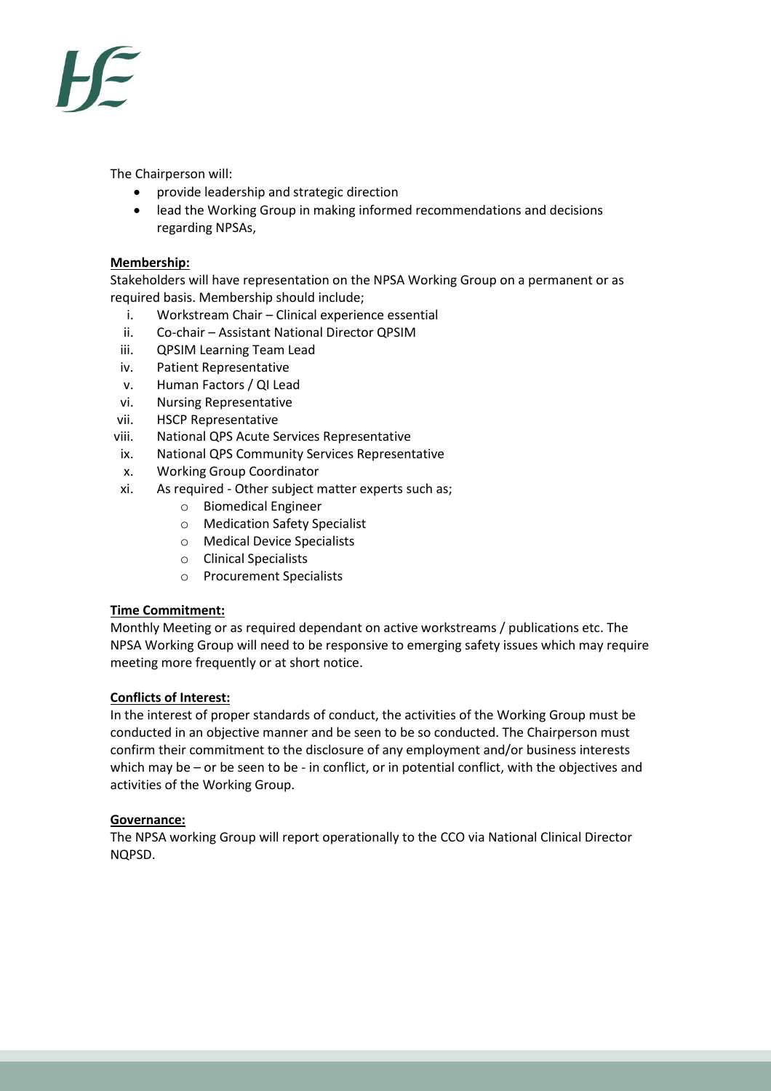

The Chairperson will:

- provide leadership and strategic direction
- lead the Working Group in making informed recommendations and decisions regarding NPSAs,

### **Membership:**

Stakeholders will have representation on the NPSA Working Group on a permanent or as required basis. Membership should include;

- i. Workstream Chair Clinical experience essential
- ii. Co-chair Assistant National Director QPSIM
- iii. QPSIM Learning Team Lead
- iv. Patient Representative
- v. Human Factors / QI Lead
- vi. Nursing Representative
- vii. HSCP Representative
- viii. National QPS Acute Services Representative
- ix. National QPS Community Services Representative
- x. Working Group Coordinator
- xi. As required Other subject matter experts such as;
	- o Biomedical Engineer
	- o Medication Safety Specialist
	- o Medical Device Specialists
	- o Clinical Specialists
	- o Procurement Specialists

#### **Time Commitment:**

Monthly Meeting or as required dependant on active workstreams / publications etc. The NPSA Working Group will need to be responsive to emerging safety issues which may require meeting more frequently or at short notice.

#### **Conflicts of Interest:**

In the interest of proper standards of conduct, the activities of the Working Group must be conducted in an objective manner and be seen to be so conducted. The Chairperson must confirm their commitment to the disclosure of any employment and/or business interests which may be – or be seen to be - in conflict, or in potential conflict, with the objectives and activities of the Working Group.

#### **Governance:**

The NPSA working Group will report operationally to the CCO via National Clinical Director NQPSD.